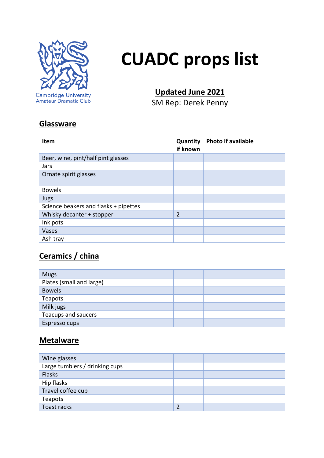

# **CUADC props list**

## **Updated June 2021**

SM Rep: Derek Penny

## **Glassware**

| <b>Item</b>                           | <b>Quantity</b><br>if known | <b>Photo if available</b> |
|---------------------------------------|-----------------------------|---------------------------|
| Beer, wine, pint/half pint glasses    |                             |                           |
| Jars                                  |                             |                           |
| Ornate spirit glasses                 |                             |                           |
| <b>Bowels</b>                         |                             |                           |
| Jugs                                  |                             |                           |
| Science beakers and flasks + pipettes |                             |                           |
| Whisky decanter + stopper             | $\overline{2}$              |                           |
| Ink pots                              |                             |                           |
| Vases                                 |                             |                           |
| Ash tray                              |                             |                           |

## **Ceramics / china**

| <b>Mugs</b>              |  |
|--------------------------|--|
| Plates (small and large) |  |
| <b>Bowels</b>            |  |
| Teapots                  |  |
| Milk jugs                |  |
| Teacups and saucers      |  |
| Espresso cups            |  |

#### **Metalware**

| Wine glasses                   |  |
|--------------------------------|--|
| Large tumblers / drinking cups |  |
| <b>Flasks</b>                  |  |
| Hip flasks                     |  |
| Travel coffee cup              |  |
| Teapots                        |  |
| Toast racks                    |  |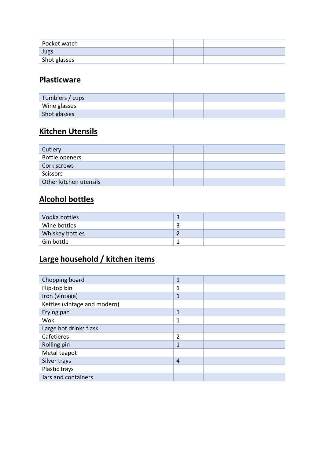| Pocket watch |  |
|--------------|--|
| Jugs         |  |
| Shot glasses |  |

## **Plasticware**

| Tumblers / cups |  |
|-----------------|--|
| Wine glasses    |  |
| Shot glasses    |  |

## **Kitchen Utensils**

| Cutlery                |  |
|------------------------|--|
| Bottle openers         |  |
| Cork screws            |  |
| <b>Scissors</b>        |  |
| Other kitchen utensils |  |

## **Alcohol bottles**

| Vodka bottles          |  |
|------------------------|--|
| Wine bottles           |  |
| <b>Whiskey bottles</b> |  |
| Gin bottle             |  |

## **Large household / kitchen items**

| Chopping board               | 1              |  |
|------------------------------|----------------|--|
| Flip-top bin                 | 1              |  |
| Iron (vintage)               | 1              |  |
| Kettles (vintage and modern) |                |  |
| Frying pan                   | 1              |  |
| Wok                          | 1              |  |
| Large hot drinks flask       |                |  |
| Cafetières                   | $\overline{2}$ |  |
| Rolling pin                  | 1              |  |
| Metal teapot                 |                |  |
| Silver trays                 | $\overline{4}$ |  |
| Plastic trays                |                |  |
| Jars and containers          |                |  |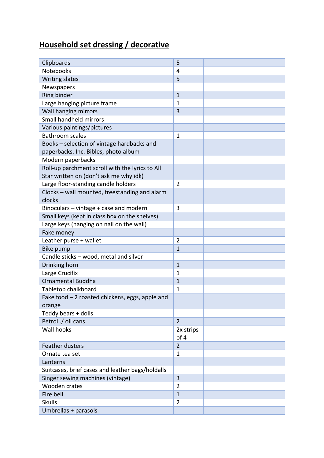## **Household set dressing / decorative**

| Clipboards                                       | 5                 |  |
|--------------------------------------------------|-------------------|--|
| <b>Notebooks</b>                                 | 4                 |  |
| <b>Writing slates</b>                            | 5                 |  |
| Newspapers                                       |                   |  |
| Ring binder                                      | $\mathbf{1}$      |  |
| Large hanging picture frame                      | 1                 |  |
| Wall hanging mirrors                             | 3                 |  |
| Small handheld mirrors                           |                   |  |
| Various paintings/pictures                       |                   |  |
| <b>Bathroom scales</b>                           | $\mathbf 1$       |  |
| Books - selection of vintage hardbacks and       |                   |  |
| paperbacks. Inc. Bibles, photo album             |                   |  |
| Modern paperbacks                                |                   |  |
| Roll-up parchment scroll with the lyrics to All  |                   |  |
| Star written on (don't ask me why idk)           |                   |  |
| Large floor-standing candle holders              | $\overline{2}$    |  |
| Clocks - wall mounted, freestanding and alarm    |                   |  |
| clocks                                           |                   |  |
| Binoculars - vintage + case and modern           | 3                 |  |
| Small keys (kept in class box on the shelves)    |                   |  |
| Large keys (hanging on nail on the wall)         |                   |  |
| Fake money                                       |                   |  |
| Leather purse + wallet                           | 2                 |  |
| Bike pump                                        | 1                 |  |
| Candle sticks - wood, metal and silver           |                   |  |
| Drinking horn                                    | $\mathbf{1}$      |  |
| Large Crucifix                                   | 1                 |  |
| <b>Ornamental Buddha</b>                         | $\mathbf{1}$      |  |
| Tabletop chalkboard                              | 1                 |  |
| Fake food - 2 roasted chickens, eggs, apple and  |                   |  |
| orange                                           |                   |  |
| Teddy bears + dolls                              |                   |  |
| Petrol ./ oil cans                               | $\overline{2}$    |  |
| Wall hooks                                       |                   |  |
|                                                  | 2x strips<br>of 4 |  |
| <b>Feather dusters</b>                           | $\overline{2}$    |  |
|                                                  |                   |  |
| Ornate tea set                                   | 1                 |  |
| Lanterns                                         |                   |  |
| Suitcases, brief cases and leather bags/holdalls |                   |  |
| Singer sewing machines (vintage)                 | 3                 |  |
| Wooden crates                                    | $\overline{2}$    |  |
| Fire bell                                        | $\mathbf{1}$      |  |
| <b>Skulls</b>                                    | $\overline{2}$    |  |
| Umbrellas + parasols                             |                   |  |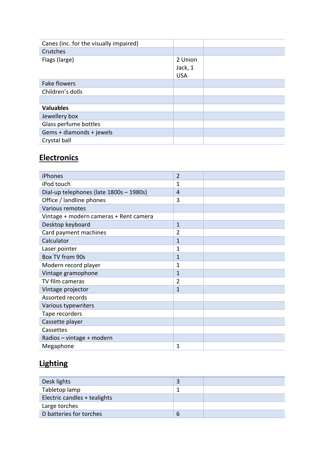| Canes (inc. for the visually impaired) |                                  |  |
|----------------------------------------|----------------------------------|--|
| Crutches                               |                                  |  |
| Flags (large)                          | 2 Union<br>Jack, 1<br><b>USA</b> |  |
| <b>Fake flowers</b>                    |                                  |  |
| Children's dolls                       |                                  |  |
|                                        |                                  |  |
| <b>Valuables</b>                       |                                  |  |
| Jewellery box                          |                                  |  |
| Glass perfume bottles                  |                                  |  |
| Gems + diamonds + jewels               |                                  |  |
| Crystal ball                           |                                  |  |

## **Electronics**

| iPhones                                 | $\overline{2}$ |  |
|-----------------------------------------|----------------|--|
| iPod touch                              | 1              |  |
| Dial-up telephones (late 1800s - 1980s) | 4              |  |
| Office / landline phones                | 3              |  |
| Various remotes                         |                |  |
| Vintage + modern cameras + Rent camera  |                |  |
| Desktop keyboard                        | $\mathbf{1}$   |  |
| Card payment machines                   | $\overline{2}$ |  |
| Calculator                              | $\overline{1}$ |  |
| Laser pointer                           | 1              |  |
| Box TV from 90s                         | $\mathbf{1}$   |  |
| Modern record player                    | 1              |  |
| Vintage gramophone                      | $\mathbf{1}$   |  |
| TV film cameras                         | $\overline{2}$ |  |
| Vintage projector                       | 1              |  |
| Assorted records                        |                |  |
| Various typewriters                     |                |  |
| Tape recorders                          |                |  |
| Cassette player                         |                |  |
| Cassettes                               |                |  |
| Radios - vintage + modern               |                |  |
| Megaphone                               | 1              |  |

## **Lighting**

| Desk lights                  |   |  |
|------------------------------|---|--|
| Tabletop lamp                |   |  |
| Electric candles + tealights |   |  |
| Large torches                |   |  |
| D batteries for torches      | b |  |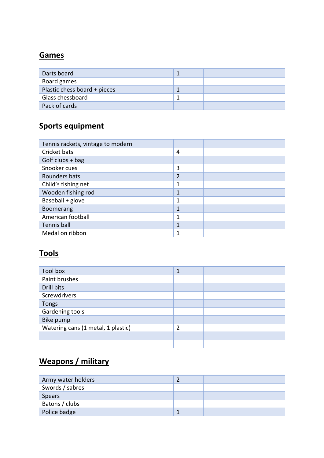#### **Games**

| Darts board                  |  |
|------------------------------|--|
| Board games                  |  |
| Plastic chess board + pieces |  |
| Glass chessboard             |  |
| Pack of cards                |  |

## **Sports equipment**

| Tennis rackets, vintage to modern |   |  |
|-----------------------------------|---|--|
| Cricket bats                      | 4 |  |
| Golf clubs $+$ bag                |   |  |
| Snooker cues                      | 3 |  |
| Rounders bats                     | 2 |  |
| Child's fishing net               | 1 |  |
| Wooden fishing rod                |   |  |
| Baseball + glove                  | 1 |  |
| <b>Boomerang</b>                  |   |  |
| American football                 | 1 |  |
| Tennis ball                       | 4 |  |
| Medal on ribbon                   |   |  |

## **Tools**

| <b>Tool box</b>                    | 1 |  |
|------------------------------------|---|--|
| Paint brushes                      |   |  |
| Drill bits                         |   |  |
| Screwdrivers                       |   |  |
| <b>Tongs</b>                       |   |  |
| Gardening tools                    |   |  |
| Bike pump                          |   |  |
| Watering cans (1 metal, 1 plastic) | 2 |  |
|                                    |   |  |
|                                    |   |  |

## **Weapons / military**

| Army water holders |  |
|--------------------|--|
| Swords / sabres    |  |
| Spears             |  |
| Batons / clubs     |  |
| Police badge       |  |